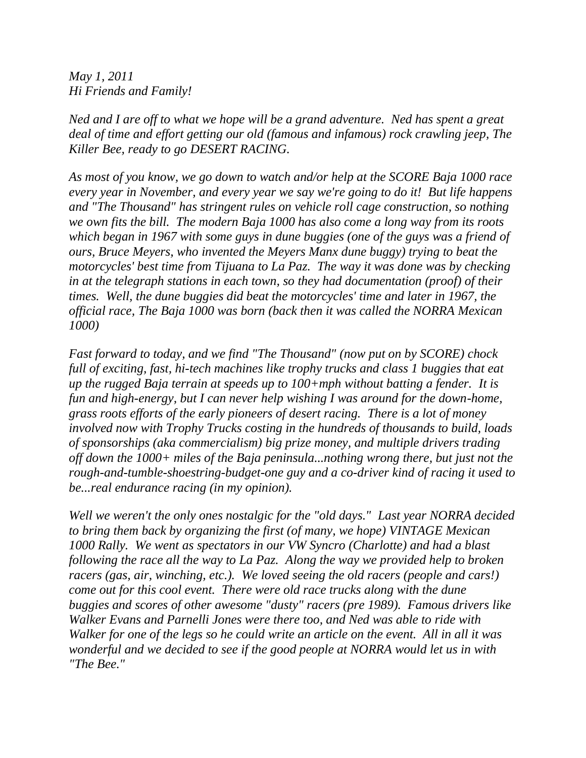*May 1, 2011 Hi Friends and Family!*

*Ned and I are off to what we hope will be a grand adventure. Ned has spent a great deal of time and effort getting our old (famous and infamous) rock crawling jeep, The Killer Bee, ready to go DESERT RACING.*

*As most of you know, we go down to watch and/or help at the SCORE Baja 1000 race every year in November, and every year we say we're going to do it! But life happens and "The Thousand" has stringent rules on vehicle roll cage construction, so nothing we own fits the bill. The modern Baja 1000 has also come a long way from its roots which began in 1967 with some guys in dune buggies (one of the guys was a friend of ours, Bruce Meyers, who invented the Meyers Manx dune buggy) trying to beat the motorcycles' best time from Tijuana to La Paz. The way it was done was by checking in at the telegraph stations in each town, so they had documentation (proof) of their times. Well, the dune buggies did beat the motorcycles' time and later in 1967, the official race, The Baja 1000 was born (back then it was called the NORRA Mexican 1000)*

*Fast forward to today, and we find "The Thousand" (now put on by SCORE) chock full of exciting, fast, hi-tech machines like trophy trucks and class 1 buggies that eat up the rugged Baja terrain at speeds up to 100+mph without batting a fender. It is fun and high-energy, but I can never help wishing I was around for the down-home, grass roots efforts of the early pioneers of desert racing. There is a lot of money involved now with Trophy Trucks costing in the hundreds of thousands to build, loads of sponsorships (aka commercialism) big prize money, and multiple drivers trading off down the 1000+ miles of the Baja peninsula...nothing wrong there, but just not the rough-and-tumble-shoestring-budget-one guy and a co-driver kind of racing it used to be...real endurance racing (in my opinion).*

*Well we weren't the only ones nostalgic for the "old days." Last year NORRA decided to bring them back by organizing the first (of many, we hope) VINTAGE Mexican 1000 Rally. We went as spectators in our VW Syncro (Charlotte) and had a blast following the race all the way to La Paz. Along the way we provided help to broken racers (gas, air, winching, etc.). We loved seeing the old racers (people and cars!) come out for this cool event. There were old race trucks along with the dune buggies and scores of other awesome "dusty" racers (pre 1989). Famous drivers like Walker Evans and Parnelli Jones were there too, and Ned was able to ride with Walker for one of the legs so he could write an article on the event. All in all it was wonderful and we decided to see if the good people at NORRA would let us in with "The Bee."*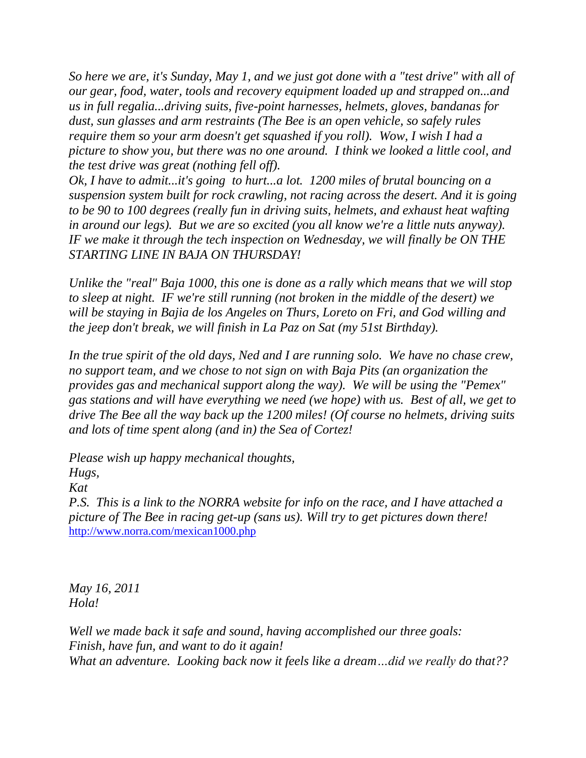*So here we are, it's Sunday, May 1, and we just got done with a "test drive" with all of our gear, food, water, tools and recovery equipment loaded up and strapped on...and us in full regalia...driving suits, five-point harnesses, helmets, gloves, bandanas for dust, sun glasses and arm restraints (The Bee is an open vehicle, so safely rules require them so your arm doesn't get squashed if you roll). Wow, I wish I had a picture to show you, but there was no one around. I think we looked a little cool, and the test drive was great (nothing fell off).* 

*Ok, I have to admit...it's going to hurt...a lot. 1200 miles of brutal bouncing on a suspension system built for rock crawling, not racing across the desert. And it is going to be 90 to 100 degrees (really fun in driving suits, helmets, and exhaust heat wafting in around our legs). But we are so excited (you all know we're a little nuts anyway). IF we make it through the tech inspection on Wednesday, we will finally be ON THE STARTING LINE IN BAJA ON THURSDAY!*

*Unlike the "real" Baja 1000, this one is done as a rally which means that we will stop to sleep at night. IF we're still running (not broken in the middle of the desert) we will be staying in Bajia de los Angeles on Thurs, Loreto on Fri, and God willing and the jeep don't break, we will finish in La Paz on Sat (my 51st Birthday).*

*In the true spirit of the old days, Ned and I are running solo. We have no chase crew, no support team, and we chose to not sign on with Baja Pits (an organization the provides gas and mechanical support along the way). We will be using the "Pemex" gas stations and will have everything we need (we hope) with us. Best of all, we get to drive The Bee all the way back up the 1200 miles! (Of course no helmets, driving suits and lots of time spent along (and in) the Sea of Cortez!*

*Please wish up happy mechanical thoughts,*

*Hugs,*

*Kat*

*P.S. This is a link to the NORRA website for info on the race, and I have attached a picture of The Bee in racing get-up (sans us). Will try to get pictures down there!* <http://www.norra.com/mexican1000.php>

*May 16, 2011 Hola!*

*Well we made back it safe and sound, having accomplished our three goals: Finish, have fun, and want to do it again! What an adventure. Looking back now it feels like a dream…did we really do that??*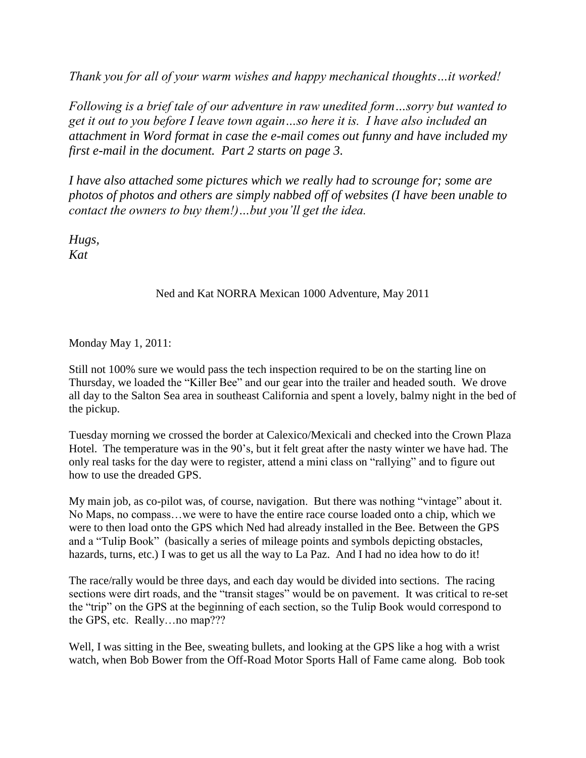*Thank you for all of your warm wishes and happy mechanical thoughts…it worked!*

*Following is a brief tale of our adventure in raw unedited form…sorry but wanted to get it out to you before I leave town again…so here it is. I have also included an attachment in Word format in case the e-mail comes out funny and have included my first e-mail in the document. Part 2 starts on page 3.*

*I have also attached some pictures which we really had to scrounge for; some are photos of photos and others are simply nabbed off of websites (I have been unable to contact the owners to buy them!)…but you'll get the idea.*

*Hugs, Kat*

## Ned and Kat NORRA Mexican 1000 Adventure, May 2011

Monday May 1, 2011:

Still not 100% sure we would pass the tech inspection required to be on the starting line on Thursday, we loaded the "Killer Bee" and our gear into the trailer and headed south. We drove all day to the Salton Sea area in southeast California and spent a lovely, balmy night in the bed of the pickup.

Tuesday morning we crossed the border at Calexico/Mexicali and checked into the Crown Plaza Hotel. The temperature was in the 90's, but it felt great after the nasty winter we have had. The only real tasks for the day were to register, attend a mini class on "rallying" and to figure out how to use the dreaded GPS.

My main job, as co-pilot was, of course, navigation. But there was nothing "vintage" about it. No Maps, no compass…we were to have the entire race course loaded onto a chip, which we were to then load onto the GPS which Ned had already installed in the Bee. Between the GPS and a "Tulip Book" (basically a series of mileage points and symbols depicting obstacles, hazards, turns, etc.) I was to get us all the way to La Paz. And I had no idea how to do it!

The race/rally would be three days, and each day would be divided into sections. The racing sections were dirt roads, and the "transit stages" would be on pavement. It was critical to re-set the "trip" on the GPS at the beginning of each section, so the Tulip Book would correspond to the GPS, etc. Really…no map???

Well, I was sitting in the Bee, sweating bullets, and looking at the GPS like a hog with a wrist watch, when Bob Bower from the Off-Road Motor Sports Hall of Fame came along. Bob took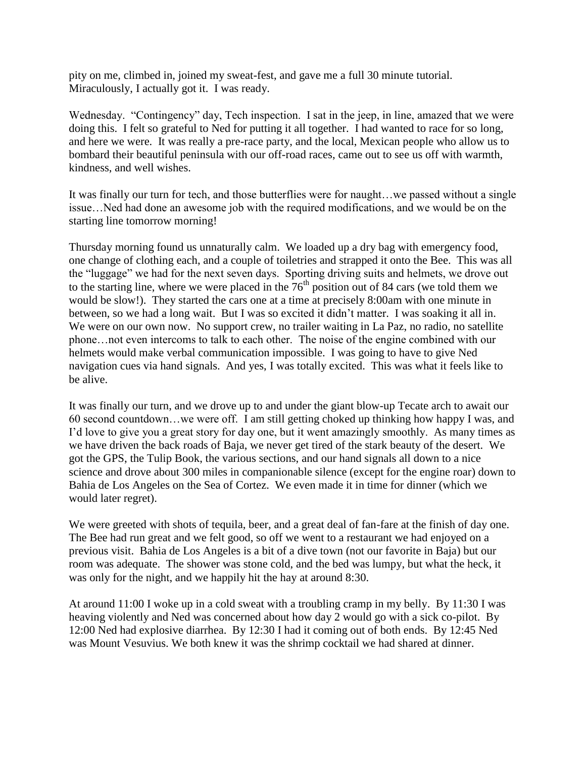pity on me, climbed in, joined my sweat-fest, and gave me a full 30 minute tutorial. Miraculously, I actually got it. I was ready.

Wednesday. "Contingency" day, Tech inspection. I sat in the jeep, in line, amazed that we were doing this. I felt so grateful to Ned for putting it all together. I had wanted to race for so long, and here we were. It was really a pre-race party, and the local, Mexican people who allow us to bombard their beautiful peninsula with our off-road races, came out to see us off with warmth, kindness, and well wishes.

It was finally our turn for tech, and those butterflies were for naught…we passed without a single issue…Ned had done an awesome job with the required modifications, and we would be on the starting line tomorrow morning!

Thursday morning found us unnaturally calm. We loaded up a dry bag with emergency food, one change of clothing each, and a couple of toiletries and strapped it onto the Bee. This was all the "luggage" we had for the next seven days. Sporting driving suits and helmets, we drove out to the starting line, where we were placed in the  $76<sup>th</sup>$  position out of 84 cars (we told them we would be slow!). They started the cars one at a time at precisely 8:00am with one minute in between, so we had a long wait. But I was so excited it didn't matter. I was soaking it all in. We were on our own now. No support crew, no trailer waiting in La Paz, no radio, no satellite phone…not even intercoms to talk to each other. The noise of the engine combined with our helmets would make verbal communication impossible. I was going to have to give Ned navigation cues via hand signals. And yes, I was totally excited. This was what it feels like to be alive.

It was finally our turn, and we drove up to and under the giant blow-up Tecate arch to await our 60 second countdown…we were off. I am still getting choked up thinking how happy I was, and I'd love to give you a great story for day one, but it went amazingly smoothly. As many times as we have driven the back roads of Baja, we never get tired of the stark beauty of the desert. We got the GPS, the Tulip Book, the various sections, and our hand signals all down to a nice science and drove about 300 miles in companionable silence (except for the engine roar) down to Bahia de Los Angeles on the Sea of Cortez. We even made it in time for dinner (which we would later regret).

We were greeted with shots of tequila, beer, and a great deal of fan-fare at the finish of day one. The Bee had run great and we felt good, so off we went to a restaurant we had enjoyed on a previous visit. Bahia de Los Angeles is a bit of a dive town (not our favorite in Baja) but our room was adequate. The shower was stone cold, and the bed was lumpy, but what the heck, it was only for the night, and we happily hit the hay at around 8:30.

At around 11:00 I woke up in a cold sweat with a troubling cramp in my belly. By 11:30 I was heaving violently and Ned was concerned about how day 2 would go with a sick co-pilot. By 12:00 Ned had explosive diarrhea. By 12:30 I had it coming out of both ends. By 12:45 Ned was Mount Vesuvius. We both knew it was the shrimp cocktail we had shared at dinner.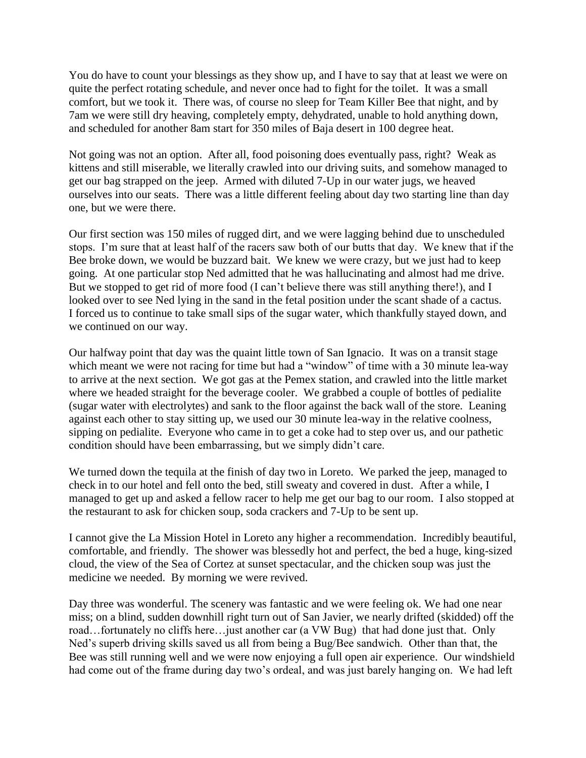You do have to count your blessings as they show up, and I have to say that at least we were on quite the perfect rotating schedule, and never once had to fight for the toilet. It was a small comfort, but we took it. There was, of course no sleep for Team Killer Bee that night, and by 7am we were still dry heaving, completely empty, dehydrated, unable to hold anything down, and scheduled for another 8am start for 350 miles of Baja desert in 100 degree heat.

Not going was not an option. After all, food poisoning does eventually pass, right? Weak as kittens and still miserable, we literally crawled into our driving suits, and somehow managed to get our bag strapped on the jeep. Armed with diluted 7-Up in our water jugs, we heaved ourselves into our seats. There was a little different feeling about day two starting line than day one, but we were there.

Our first section was 150 miles of rugged dirt, and we were lagging behind due to unscheduled stops. I'm sure that at least half of the racers saw both of our butts that day. We knew that if the Bee broke down, we would be buzzard bait. We knew we were crazy, but we just had to keep going. At one particular stop Ned admitted that he was hallucinating and almost had me drive. But we stopped to get rid of more food (I can't believe there was still anything there!), and I looked over to see Ned lying in the sand in the fetal position under the scant shade of a cactus. I forced us to continue to take small sips of the sugar water, which thankfully stayed down, and we continued on our way.

Our halfway point that day was the quaint little town of San Ignacio. It was on a transit stage which meant we were not racing for time but had a "window" of time with a 30 minute lea-way to arrive at the next section. We got gas at the Pemex station, and crawled into the little market where we headed straight for the beverage cooler. We grabbed a couple of bottles of pedialite (sugar water with electrolytes) and sank to the floor against the back wall of the store. Leaning against each other to stay sitting up, we used our 30 minute lea-way in the relative coolness, sipping on pedialite. Everyone who came in to get a coke had to step over us, and our pathetic condition should have been embarrassing, but we simply didn't care.

We turned down the tequila at the finish of day two in Loreto. We parked the jeep, managed to check in to our hotel and fell onto the bed, still sweaty and covered in dust. After a while, I managed to get up and asked a fellow racer to help me get our bag to our room. I also stopped at the restaurant to ask for chicken soup, soda crackers and 7-Up to be sent up.

I cannot give the La Mission Hotel in Loreto any higher a recommendation. Incredibly beautiful, comfortable, and friendly. The shower was blessedly hot and perfect, the bed a huge, king-sized cloud, the view of the Sea of Cortez at sunset spectacular, and the chicken soup was just the medicine we needed. By morning we were revived.

Day three was wonderful. The scenery was fantastic and we were feeling ok. We had one near miss; on a blind, sudden downhill right turn out of San Javier, we nearly drifted (skidded) off the road…fortunately no cliffs here…just another car (a VW Bug) that had done just that. Only Ned's superb driving skills saved us all from being a Bug/Bee sandwich. Other than that, the Bee was still running well and we were now enjoying a full open air experience. Our windshield had come out of the frame during day two's ordeal, and was just barely hanging on. We had left